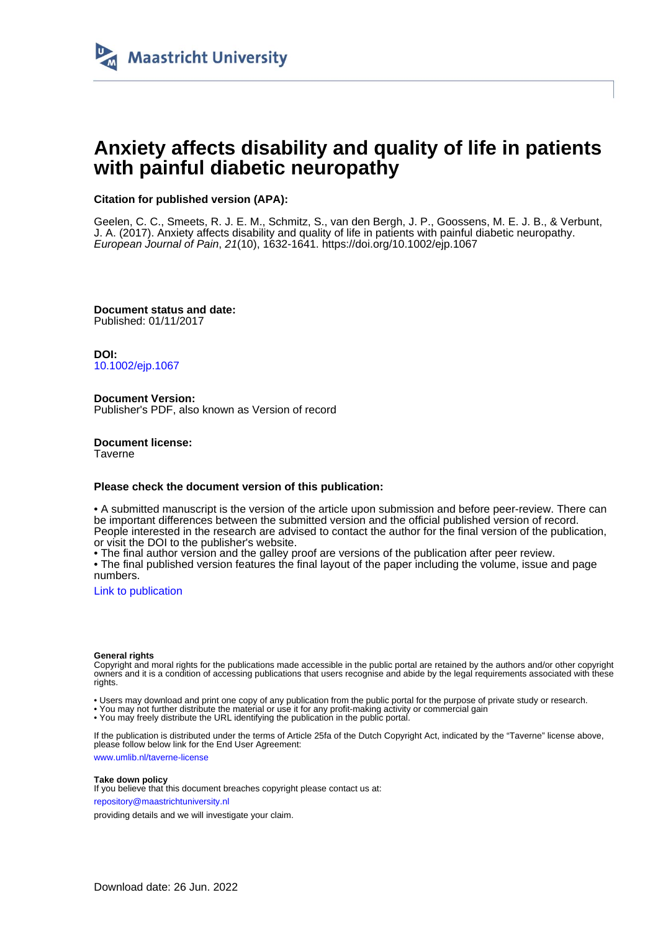

# **Anxiety affects disability and quality of life in patients with painful diabetic neuropathy**

### **Citation for published version (APA):**

Geelen, C. C., Smeets, R. J. E. M., Schmitz, S., van den Bergh, J. P., Goossens, M. E. J. B., & Verbunt, J. A. (2017). Anxiety affects disability and quality of life in patients with painful diabetic neuropathy. European Journal of Pain, 21(10), 1632-1641.<https://doi.org/10.1002/ejp.1067>

**Document status and date:** Published: 01/11/2017

**DOI:** [10.1002/ejp.1067](https://doi.org/10.1002/ejp.1067)

**Document Version:** Publisher's PDF, also known as Version of record

**Document license: Taverne** 

#### **Please check the document version of this publication:**

• A submitted manuscript is the version of the article upon submission and before peer-review. There can be important differences between the submitted version and the official published version of record. People interested in the research are advised to contact the author for the final version of the publication, or visit the DOI to the publisher's website.

• The final author version and the galley proof are versions of the publication after peer review.

• The final published version features the final layout of the paper including the volume, issue and page numbers.

[Link to publication](https://cris.maastrichtuniversity.nl/en/publications/eecf03e4-f295-4e11-b455-d4784dbdbae3)

#### **General rights**

Copyright and moral rights for the publications made accessible in the public portal are retained by the authors and/or other copyright owners and it is a condition of accessing publications that users recognise and abide by the legal requirements associated with these rights.

• Users may download and print one copy of any publication from the public portal for the purpose of private study or research.

• You may not further distribute the material or use it for any profit-making activity or commercial gain

• You may freely distribute the URL identifying the publication in the public portal.

If the publication is distributed under the terms of Article 25fa of the Dutch Copyright Act, indicated by the "Taverne" license above, please follow below link for the End User Agreement:

www.umlib.nl/taverne-license

#### **Take down policy**

If you believe that this document breaches copyright please contact us at: repository@maastrichtuniversity.nl

providing details and we will investigate your claim.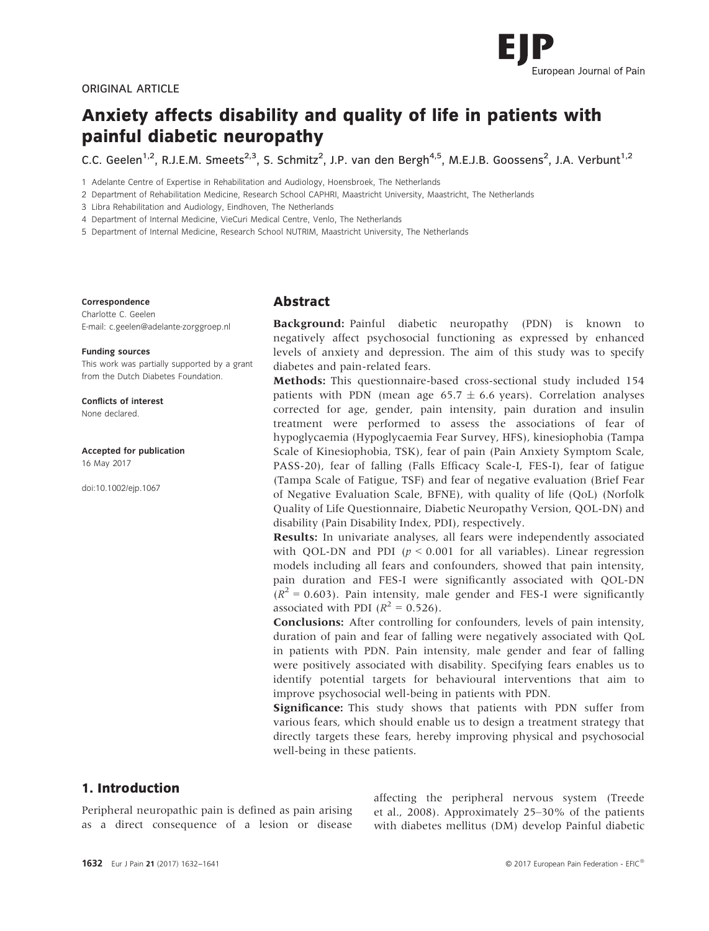

#### ORIGINAL ARTICLE

# Anxiety affects disability and quality of life in patients with painful diabetic neuropathy

C.C. Geelen<sup>1,2</sup>, R.J.E.M. Smeets<sup>2,3</sup>, S. Schmitz<sup>2</sup>, J.P. van den Bergh<sup>4,5</sup>, M.E.J.B. Goossens<sup>2</sup>, J.A. Verbunt<sup>1,2</sup>

1 Adelante Centre of Expertise in Rehabilitation and Audiology, Hoensbroek, The Netherlands

2 Department of Rehabilitation Medicine, Research School CAPHRI, Maastricht University, Maastricht, The Netherlands

3 Libra Rehabilitation and Audiology, Eindhoven, The Netherlands

4 Department of Internal Medicine, VieCuri Medical Centre, Venlo, The Netherlands

5 Department of Internal Medicine, Research School NUTRIM, Maastricht University, The Netherlands

#### Correspondence

Charlotte C. Geelen E-mail: c.geelen@adelante-zorggroep.nl

Funding sources This work was partially supported by a grant

from the Dutch Diabetes Foundation.

Conflicts of interest None declared.

Accepted for publication 16 May 2017

doi:10.1002/ejp.1067

#### Abstract

Background: Painful diabetic neuropathy (PDN) is known to negatively affect psychosocial functioning as expressed by enhanced levels of anxiety and depression. The aim of this study was to specify diabetes and pain-related fears.

Methods: This questionnaire-based cross-sectional study included 154 patients with PDN (mean age 65.7  $\pm$  6.6 years). Correlation analyses corrected for age, gender, pain intensity, pain duration and insulin treatment were performed to assess the associations of fear of hypoglycaemia (Hypoglycaemia Fear Survey, HFS), kinesiophobia (Tampa Scale of Kinesiophobia, TSK), fear of pain (Pain Anxiety Symptom Scale, PASS-20), fear of falling (Falls Efficacy Scale-I, FES-I), fear of fatigue (Tampa Scale of Fatigue, TSF) and fear of negative evaluation (Brief Fear of Negative Evaluation Scale, BFNE), with quality of life (QoL) (Norfolk Quality of Life Questionnaire, Diabetic Neuropathy Version, QOL-DN) and disability (Pain Disability Index, PDI), respectively.

Results: In univariate analyses, all fears were independently associated with QOL-DN and PDI ( $p < 0.001$  for all variables). Linear regression models including all fears and confounders, showed that pain intensity, pain duration and FES-I were significantly associated with QOL-DN  $(R<sup>2</sup> = 0.603)$ . Pain intensity, male gender and FES-I were significantly associated with PDI  $(R^2 = 0.526)$ .

Conclusions: After controlling for confounders, levels of pain intensity, duration of pain and fear of falling were negatively associated with QoL in patients with PDN. Pain intensity, male gender and fear of falling were positively associated with disability. Specifying fears enables us to identify potential targets for behavioural interventions that aim to improve psychosocial well-being in patients with PDN.

Significance: This study shows that patients with PDN suffer from various fears, which should enable us to design a treatment strategy that directly targets these fears, hereby improving physical and psychosocial well-being in these patients.

# 1. Introduction

Peripheral neuropathic pain is defined as pain arising as a direct consequence of a lesion or disease affecting the peripheral nervous system (Treede et al., 2008). Approximately 25–30% of the patients with diabetes mellitus (DM) develop Painful diabetic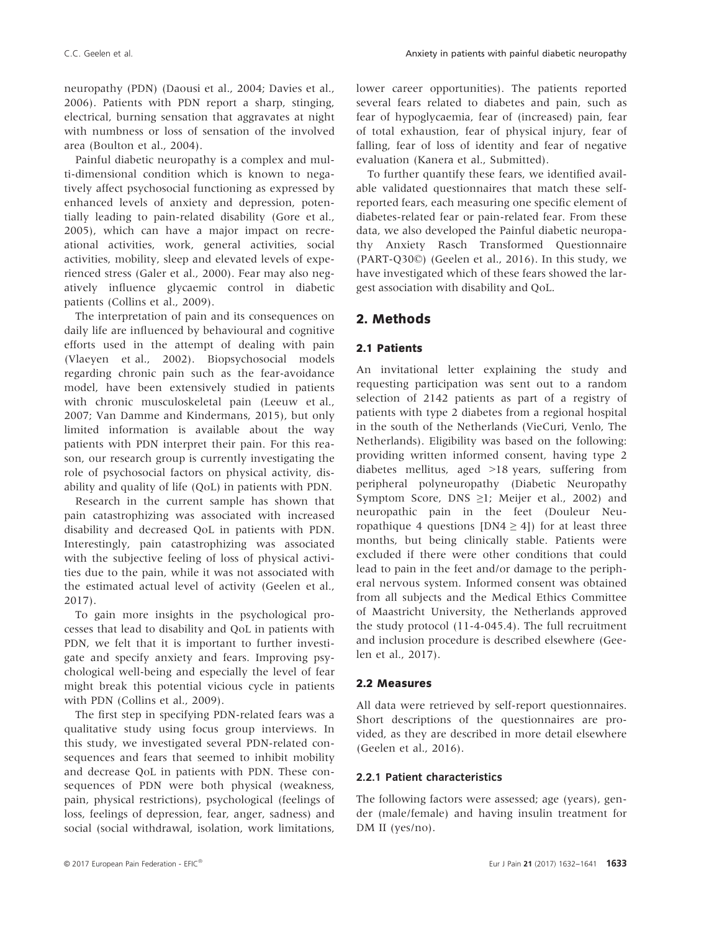neuropathy (PDN) (Daousi et al., 2004; Davies et al., 2006). Patients with PDN report a sharp, stinging, electrical, burning sensation that aggravates at night with numbness or loss of sensation of the involved area (Boulton et al., 2004).

Painful diabetic neuropathy is a complex and multi-dimensional condition which is known to negatively affect psychosocial functioning as expressed by enhanced levels of anxiety and depression, potentially leading to pain-related disability (Gore et al., 2005), which can have a major impact on recreational activities, work, general activities, social activities, mobility, sleep and elevated levels of experienced stress (Galer et al., 2000). Fear may also negatively influence glycaemic control in diabetic patients (Collins et al., 2009).

The interpretation of pain and its consequences on daily life are influenced by behavioural and cognitive efforts used in the attempt of dealing with pain (Vlaeyen et al., 2002). Biopsychosocial models regarding chronic pain such as the fear-avoidance model, have been extensively studied in patients with chronic musculoskeletal pain (Leeuw et al., 2007; Van Damme and Kindermans, 2015), but only limited information is available about the way patients with PDN interpret their pain. For this reason, our research group is currently investigating the role of psychosocial factors on physical activity, disability and quality of life (QoL) in patients with PDN.

Research in the current sample has shown that pain catastrophizing was associated with increased disability and decreased QoL in patients with PDN. Interestingly, pain catastrophizing was associated with the subjective feeling of loss of physical activities due to the pain, while it was not associated with the estimated actual level of activity (Geelen et al., 2017).

To gain more insights in the psychological processes that lead to disability and QoL in patients with PDN, we felt that it is important to further investigate and specify anxiety and fears. Improving psychological well-being and especially the level of fear might break this potential vicious cycle in patients with PDN (Collins et al., 2009).

The first step in specifying PDN-related fears was a qualitative study using focus group interviews. In this study, we investigated several PDN-related consequences and fears that seemed to inhibit mobility and decrease QoL in patients with PDN. These consequences of PDN were both physical (weakness, pain, physical restrictions), psychological (feelings of loss, feelings of depression, fear, anger, sadness) and social (social withdrawal, isolation, work limitations,

lower career opportunities). The patients reported several fears related to diabetes and pain, such as fear of hypoglycaemia, fear of (increased) pain, fear of total exhaustion, fear of physical injury, fear of falling, fear of loss of identity and fear of negative evaluation (Kanera et al., Submitted).

To further quantify these fears, we identified available validated questionnaires that match these selfreported fears, each measuring one specific element of diabetes-related fear or pain-related fear. From these data, we also developed the Painful diabetic neuropathy Anxiety Rasch Transformed Questionnaire (PART-Q30©) (Geelen et al., 2016). In this study, we have investigated which of these fears showed the largest association with disability and QoL.

# 2. Methods

## 2.1 Patients

An invitational letter explaining the study and requesting participation was sent out to a random selection of 2142 patients as part of a registry of patients with type 2 diabetes from a regional hospital in the south of the Netherlands (VieCuri, Venlo, The Netherlands). Eligibility was based on the following: providing written informed consent, having type 2 diabetes mellitus, aged >18 years, suffering from peripheral polyneuropathy (Diabetic Neuropathy Symptom Score, DNS  $\geq$ 1; Meijer et al., 2002) and neuropathic pain in the feet (Douleur Neuropathique 4 questions [DN4  $\geq$  4]) for at least three months, but being clinically stable. Patients were excluded if there were other conditions that could lead to pain in the feet and/or damage to the peripheral nervous system. Informed consent was obtained from all subjects and the Medical Ethics Committee of Maastricht University, the Netherlands approved the study protocol (11-4-045.4). The full recruitment and inclusion procedure is described elsewhere (Geelen et al., 2017).

## 2.2 Measures

All data were retrieved by self-report questionnaires. Short descriptions of the questionnaires are provided, as they are described in more detail elsewhere (Geelen et al., 2016).

## 2.2.1 Patient characteristics

The following factors were assessed; age (years), gender (male/female) and having insulin treatment for DM II (yes/no).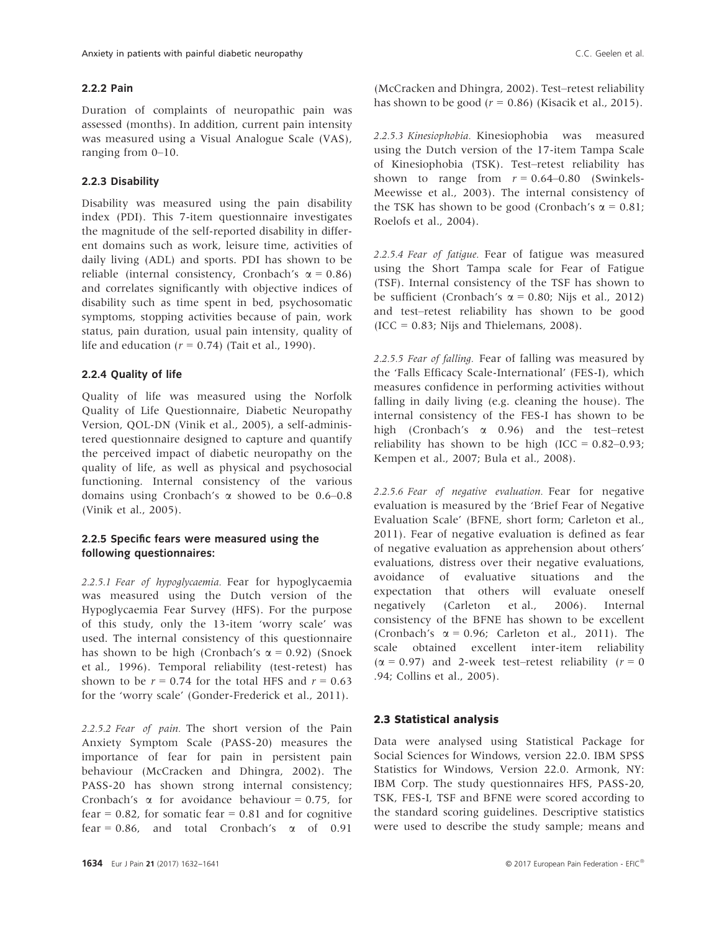#### 2.2.2 Pain

Duration of complaints of neuropathic pain was assessed (months). In addition, current pain intensity was measured using a Visual Analogue Scale (VAS), ranging from 0–10.

#### 2.2.3 Disability

Disability was measured using the pain disability index (PDI). This 7-item questionnaire investigates the magnitude of the self-reported disability in different domains such as work, leisure time, activities of daily living (ADL) and sports. PDI has shown to be reliable (internal consistency, Cronbach's  $\alpha$  = 0.86) and correlates significantly with objective indices of disability such as time spent in bed, psychosomatic symptoms, stopping activities because of pain, work status, pain duration, usual pain intensity, quality of life and education ( $r = 0.74$ ) (Tait et al., 1990).

#### 2.2.4 Quality of life

Quality of life was measured using the Norfolk Quality of Life Questionnaire, Diabetic Neuropathy Version, QOL-DN (Vinik et al., 2005), a self-administered questionnaire designed to capture and quantify the perceived impact of diabetic neuropathy on the quality of life, as well as physical and psychosocial functioning. Internal consistency of the various domains using Cronbach's  $\alpha$  showed to be 0.6–0.8 (Vinik et al., 2005).

## 2.2.5 Specific fears were measured using the following questionnaires:

2.2.5.1 Fear of hypoglycaemia. Fear for hypoglycaemia was measured using the Dutch version of the Hypoglycaemia Fear Survey (HFS). For the purpose of this study, only the 13-item 'worry scale' was used. The internal consistency of this questionnaire has shown to be high (Cronbach's  $\alpha$  = 0.92) (Snoek et al., 1996). Temporal reliability (test-retest) has shown to be  $r = 0.74$  for the total HFS and  $r = 0.63$ for the 'worry scale' (Gonder-Frederick et al., 2011).

2.2.5.2 Fear of pain. The short version of the Pain Anxiety Symptom Scale (PASS-20) measures the importance of fear for pain in persistent pain behaviour (McCracken and Dhingra, 2002). The PASS-20 has shown strong internal consistency; Cronbach's  $\alpha$  for avoidance behaviour = 0.75, for fear =  $0.82$ , for somatic fear =  $0.81$  and for cognitive fear = 0.86, and total Cronbach's  $\alpha$  of 0.91

(McCracken and Dhingra, 2002). Test–retest reliability has shown to be good  $(r = 0.86)$  (Kisacik et al., 2015).

2.2.5.3 Kinesiophobia. Kinesiophobia was measured using the Dutch version of the 17-item Tampa Scale of Kinesiophobia (TSK). Test–retest reliability has shown to range from  $r = 0.64 - 0.80$  (Swinkels-Meewisse et al., 2003). The internal consistency of the TSK has shown to be good (Cronbach's  $\alpha = 0.81$ ; Roelofs et al., 2004).

2.2.5.4 Fear of fatigue. Fear of fatigue was measured using the Short Tampa scale for Fear of Fatigue (TSF). Internal consistency of the TSF has shown to be sufficient (Cronbach's  $\alpha$  = 0.80; Nijs et al., 2012) and test–retest reliability has shown to be good  $(ICC = 0.83; Nijs and Thielemans, 2008).$ 

2.2.5.5 Fear of falling. Fear of falling was measured by the 'Falls Efficacy Scale-International' (FES-I), which measures confidence in performing activities without falling in daily living (e.g. cleaning the house). The internal consistency of the FES-I has shown to be high (Cronbach's a 0.96) and the test–retest reliability has shown to be high  $(ICC = 0.82 - 0.93)$ ; Kempen et al., 2007; Bula et al., 2008).

2.2.5.6 Fear of negative evaluation. Fear for negative evaluation is measured by the 'Brief Fear of Negative Evaluation Scale' (BFNE, short form; Carleton et al., 2011). Fear of negative evaluation is defined as fear of negative evaluation as apprehension about others' evaluations, distress over their negative evaluations, avoidance of evaluative situations and the expectation that others will evaluate oneself negatively (Carleton et al., 2006). Internal consistency of the BFNE has shown to be excellent (Cronbach's  $\alpha = 0.96$ ; Carleton et al., 2011). The scale obtained excellent inter-item reliability ( $\alpha$  = 0.97) and 2-week test–retest reliability ( $r = 0$ .94; Collins et al., 2005).

#### 2.3 Statistical analysis

Data were analysed using Statistical Package for Social Sciences for Windows, version 22.0. IBM SPSS Statistics for Windows, Version 22.0. Armonk, NY: IBM Corp. The study questionnaires HFS, PASS-20, TSK, FES-I, TSF and BFNE were scored according to the standard scoring guidelines. Descriptive statistics were used to describe the study sample; means and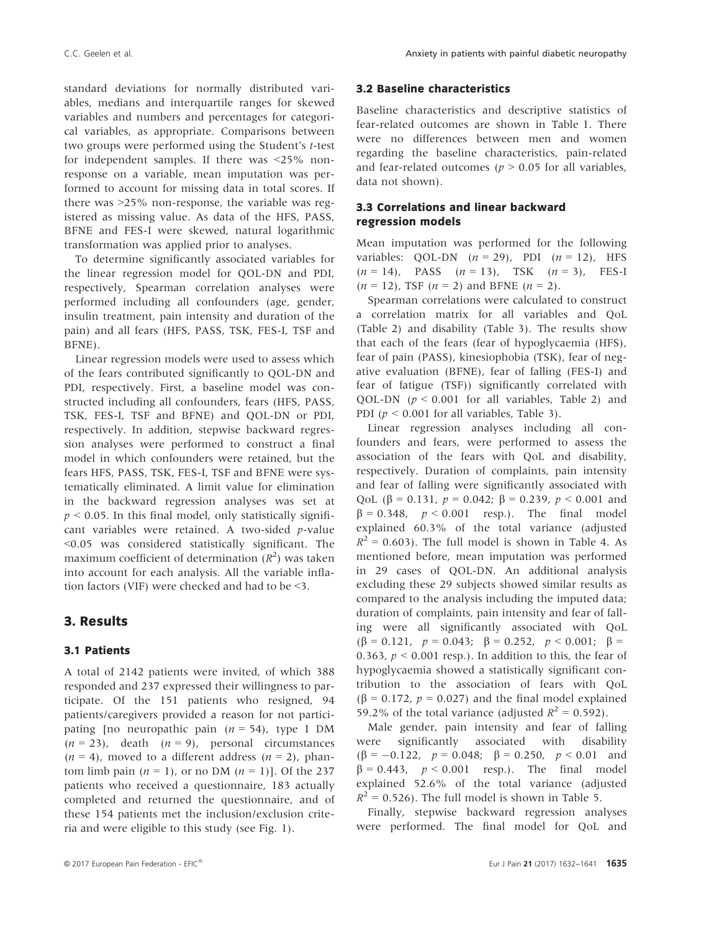standard deviations for normally distributed variables, medians and interquartile ranges for skewed variables and numbers and percentages for categorical variables, as appropriate. Comparisons between two groups were performed using the Student's t-test for independent samples. If there was <25% nonresponse on a variable, mean imputation was performed to account for missing data in total scores. If there was >25% non-response, the variable was registered as missing value. As data of the HFS, PASS, BFNE and FES-I were skewed, natural logarithmic transformation was applied prior to analyses.

To determine significantly associated variables for the linear regression model for QOL-DN and PDI, respectively, Spearman correlation analyses were performed including all confounders (age, gender, insulin treatment, pain intensity and duration of the pain) and all fears (HFS, PASS, TSK, FES-I, TSF and BFNE).

Linear regression models were used to assess which of the fears contributed significantly to QOL-DN and PDI, respectively. First, a baseline model was constructed including all confounders, fears (HFS, PASS, TSK, FES-I, TSF and BFNE) and QOL-DN or PDI, respectively. In addition, stepwise backward regression analyses were performed to construct a final model in which confounders were retained, but the fears HFS, PASS, TSK, FES-I, TSF and BFNE were systematically eliminated. A limit value for elimination in the backward regression analyses was set at  $p \le 0.05$ . In this final model, only statistically significant variables were retained. A two-sided p-value <0.05 was considered statistically significant. The maximum coefficient of determination  $(R^2)$  was taken into account for each analysis. All the variable inflation factors (VIF) were checked and had to be <3.

# 3. Results

#### 3.1 Patients

A total of 2142 patients were invited, of which 388 responded and 237 expressed their willingness to participate. Of the 151 patients who resigned, 94 patients/caregivers provided a reason for not participating [no neuropathic pain  $(n = 54)$ , type I DM  $(n = 23)$ , death  $(n = 9)$ , personal circumstances  $(n = 4)$ , moved to a different address  $(n = 2)$ , phantom limb pain  $(n = 1)$ , or no DM  $(n = 1)$ ]. Of the 237 patients who received a questionnaire, 183 actually completed and returned the questionnaire, and of these 154 patients met the inclusion/exclusion criteria and were eligible to this study (see Fig. 1).

#### 3.2 Baseline characteristics

Baseline characteristics and descriptive statistics of fear-related outcomes are shown in Table 1. There were no differences between men and women regarding the baseline characteristics, pain-related and fear-related outcomes ( $p > 0.05$  for all variables, data not shown).

### 3.3 Correlations and linear backward regression models

Mean imputation was performed for the following variables: QOL-DN  $(n = 29)$ , PDI  $(n = 12)$ , HFS  $(n = 14)$ , PASS  $(n = 13)$ , TSK  $(n = 3)$ , FES-I  $(n = 12)$ , TSF  $(n = 2)$  and BFNE  $(n = 2)$ .

Spearman correlations were calculated to construct a correlation matrix for all variables and QoL (Table 2) and disability (Table 3). The results show that each of the fears (fear of hypoglycaemia (HFS), fear of pain (PASS), kinesiophobia (TSK), fear of negative evaluation (BFNE), fear of falling (FES-I) and fear of fatigue (TSF)) significantly correlated with QOL-DN ( $p < 0.001$  for all variables, Table 2) and PDI ( $p \leq 0.001$  for all variables, Table 3).

Linear regression analyses including all confounders and fears, were performed to assess the association of the fears with QoL and disability, respectively. Duration of complaints, pain intensity and fear of falling were significantly associated with QoL ( $\beta$  = 0.131,  $p$  = 0.042;  $\beta$  = 0.239,  $p$  < 0.001 and  $\beta = 0.348$ ,  $p < 0.001$  resp.). The final model explained 60.3% of the total variance (adjusted  $R^2 = 0.603$ ). The full model is shown in Table 4. As mentioned before, mean imputation was performed in 29 cases of QOL-DN. An additional analysis excluding these 29 subjects showed similar results as compared to the analysis including the imputed data; duration of complaints, pain intensity and fear of falling were all significantly associated with QoL  $(\beta = 0.121, p = 0.043; \beta = 0.252, p < 0.001; \beta =$ 0.363,  $p < 0.001$  resp.). In addition to this, the fear of hypoglycaemia showed a statistically significant contribution to the association of fears with QoL  $(\beta = 0.172, p = 0.027)$  and the final model explained 59.2% of the total variance (adjusted  $R^2 = 0.592$ ).

Male gender, pain intensity and fear of falling were significantly associated with disability  $(\beta = -0.122, p = 0.048; \beta = 0.250, p < 0.01$  and  $\beta$  = 0.443,  $p < 0.001$  resp.). The final model explained 52.6% of the total variance (adjusted  $R^2$  = 0.526). The full model is shown in Table 5.

Finally, stepwise backward regression analyses were performed. The final model for QoL and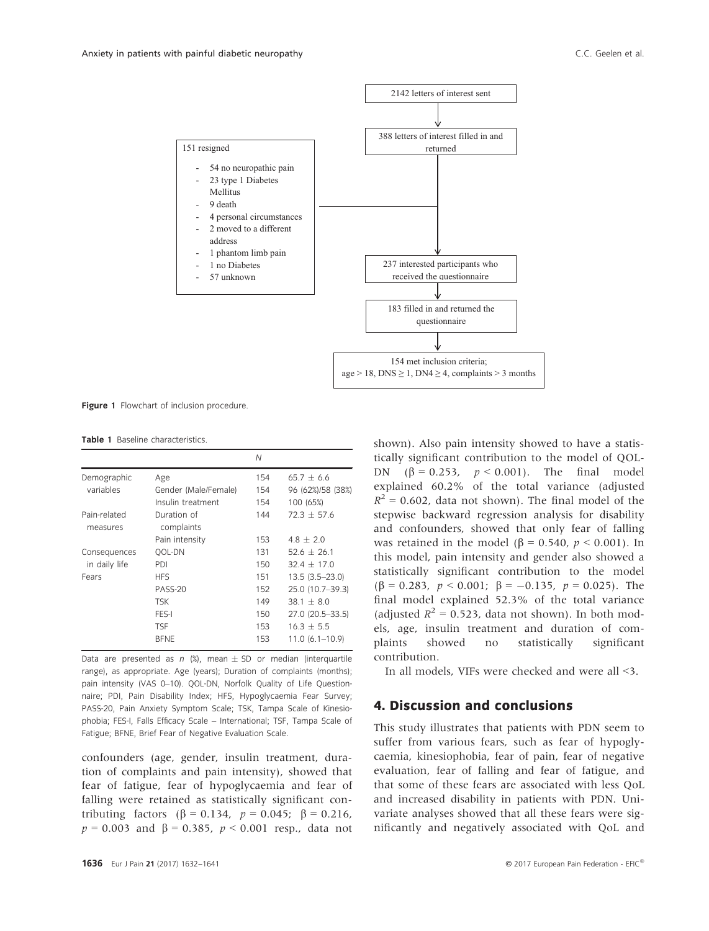

Figure 1 Flowchart of inclusion procedure.

Table 1 Baseline characteristics

|                               |                           | N   |                     |
|-------------------------------|---------------------------|-----|---------------------|
| Demographic                   | Age                       | 154 | $65.7 \pm 6.6$      |
| variables                     | Gender (Male/Female)      | 154 | 96 (62%)/58 (38%)   |
|                               | Insulin treatment         | 154 | 100 (65%)           |
| Pain-related<br>measures      | Duration of<br>complaints | 144 | $72.3 + 57.6$       |
|                               | Pain intensity            | 153 | $4.8 + 2.0$         |
| Consequences<br>in daily life | <b>OOL-DN</b>             | 131 | $52.6 + 26.1$       |
|                               | PDI                       | 150 | $32.4 + 17.0$       |
| Fears                         | <b>HFS</b>                | 151 | $13.5(3.5 - 23.0)$  |
|                               | <b>PASS-20</b>            | 152 | 25.0 (10.7-39.3)    |
|                               | <b>TSK</b>                | 149 | $38.1 + 8.0$        |
|                               | FES-I                     | 150 | 27.0 (20.5-33.5)    |
|                               | <b>TSF</b>                | 153 | $16.3 + 5.5$        |
|                               | <b>BFNE</b>               | 153 | $11.0 (6.1 - 10.9)$ |

Data are presented as n  $\frac{1}{2}$ , mean  $\pm$  SD or median (interquartile range), as appropriate. Age (years); Duration of complaints (months); pain intensity (VAS 0–10). QOL-DN, Norfolk Quality of Life Questionnaire; PDI, Pain Disability Index; HFS, Hypoglycaemia Fear Survey; PASS-20, Pain Anxiety Symptom Scale; TSK, Tampa Scale of Kinesiophobia; FES-I, Falls Efficacy Scale – International; TSF, Tampa Scale of Fatigue; BFNE, Brief Fear of Negative Evaluation Scale.

confounders (age, gender, insulin treatment, duration of complaints and pain intensity), showed that fear of fatigue, fear of hypoglycaemia and fear of falling were retained as statistically significant contributing factors ( $\beta = 0.134$ ,  $p = 0.045$ ;  $\beta = 0.216$ ,  $p = 0.003$  and  $\beta = 0.385$ ,  $p < 0.001$  resp., data not

shown). Also pain intensity showed to have a statistically significant contribution to the model of QOL-DN ( $\beta = 0.253$ ,  $p < 0.001$ ). The final model explained 60.2% of the total variance (adjusted  $R^2$  = 0.602, data not shown). The final model of the stepwise backward regression analysis for disability and confounders, showed that only fear of falling was retained in the model ( $\beta$  = 0.540,  $p$  < 0.001). In this model, pain intensity and gender also showed a statistically significant contribution to the model  $(\beta = 0.283, p < 0.001; \beta = -0.135, p = 0.025)$ . The final model explained 52.3% of the total variance (adjusted  $R^2 = 0.523$ , data not shown). In both models, age, insulin treatment and duration of complaints showed no statistically significant contribution.

In all models, VIFs were checked and were all <3.

## 4. Discussion and conclusions

This study illustrates that patients with PDN seem to suffer from various fears, such as fear of hypoglycaemia, kinesiophobia, fear of pain, fear of negative evaluation, fear of falling and fear of fatigue, and that some of these fears are associated with less QoL and increased disability in patients with PDN. Univariate analyses showed that all these fears were significantly and negatively associated with QoL and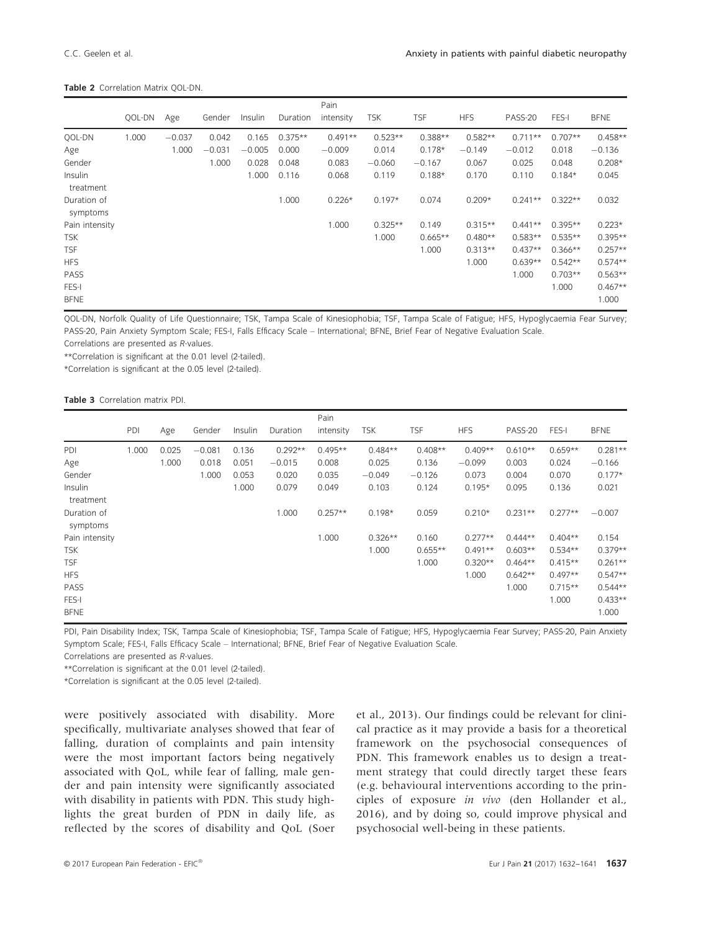#### Table 2 Correlation Matrix OOL-DN.

|                         |        |          |          |          |           | Pain      |            |           |            |           |           |             |
|-------------------------|--------|----------|----------|----------|-----------|-----------|------------|-----------|------------|-----------|-----------|-------------|
|                         | QOL-DN | Age      | Gender   | Insulin  | Duration  | intensity | <b>TSK</b> | TSF       | <b>HFS</b> | PASS-20   | FES-I     | <b>BFNE</b> |
| QOL-DN                  | 1.000  | $-0.037$ | 0.042    | 0.165    | $0.375**$ | $0.491**$ | $0.523**$  | $0.388**$ | $0.582**$  | $0.711**$ | $0.707**$ | $0.458**$   |
| Age                     |        | 1.000    | $-0.031$ | $-0.005$ | 0.000     | $-0.009$  | 0.014      | $0.178*$  | $-0.149$   | $-0.012$  | 0.018     | $-0.136$    |
| Gender                  |        |          | 1.000    | 0.028    | 0.048     | 0.083     | $-0.060$   | $-0.167$  | 0.067      | 0.025     | 0.048     | $0.208*$    |
| Insulin<br>treatment    |        |          |          | 1.000    | 0.116     | 0.068     | 0.119      | $0.188*$  | 0.170      | 0.110     | $0.184*$  | 0.045       |
| Duration of<br>symptoms |        |          |          |          | 1.000     | $0.226*$  | $0.197*$   | 0.074     | $0.209*$   | $0.241**$ | $0.322**$ | 0.032       |
| Pain intensity          |        |          |          |          |           | 1.000     | $0.325**$  | 0.149     | $0.315**$  | $0.441**$ | $0.395**$ | $0.223*$    |
| TSK                     |        |          |          |          |           |           | 1.000      | $0.665**$ | $0.480**$  | $0.583**$ | $0.535**$ | $0.395**$   |
| <b>TSF</b>              |        |          |          |          |           |           |            | 1.000     | $0.313**$  | $0.437**$ | $0.366**$ | $0.257**$   |
| <b>HFS</b>              |        |          |          |          |           |           |            |           | 1.000      | $0.639**$ | $0.542**$ | $0.574**$   |
| PASS                    |        |          |          |          |           |           |            |           |            | 1.000     | $0.703**$ | $0.563**$   |
| FES-I                   |        |          |          |          |           |           |            |           |            |           | 1.000     | $0.467**$   |
| <b>BFNE</b>             |        |          |          |          |           |           |            |           |            |           |           | 1.000       |

QOL-DN, Norfolk Quality of Life Questionnaire; TSK, Tampa Scale of Kinesiophobia; TSF, Tampa Scale of Fatigue; HFS, Hypoglycaemia Fear Survey; PASS-20, Pain Anxiety Symptom Scale; FES-I, Falls Efficacy Scale – International; BFNE, Brief Fear of Negative Evaluation Scale.

Correlations are presented as R-values.

\*\*Correlation is significant at the 0.01 level (2-tailed).

\*Correlation is significant at the 0.05 level (2-tailed).

Table 3 Correlation matrix PDI.

|                         |       |       |          |         |           | Pain      |            |            |            |           |           |             |
|-------------------------|-------|-------|----------|---------|-----------|-----------|------------|------------|------------|-----------|-----------|-------------|
|                         | PDI   | Age   | Gender   | Insulin | Duration  | intensity | <b>TSK</b> | <b>TSF</b> | <b>HFS</b> | PASS-20   | FES-I     | <b>BFNE</b> |
| PDI                     | 1.000 | 0.025 | $-0.081$ | 0.136   | $0.292**$ | $0.495**$ | $0.484**$  | $0.408**$  | $0.409**$  | $0.610**$ | $0.659**$ | $0.281**$   |
| Age                     |       | 1.000 | 0.018    | 0.051   | $-0.015$  | 0.008     | 0.025      | 0.136      | $-0.099$   | 0.003     | 0.024     | $-0.166$    |
| Gender                  |       |       | 1.000    | 0.053   | 0.020     | 0.035     | $-0.049$   | $-0.126$   | 0.073      | 0.004     | 0.070     | $0.177*$    |
| Insulin<br>treatment    |       |       |          | 1.000   | 0.079     | 0.049     | 0.103      | 0.124      | $0.195*$   | 0.095     | 0.136     | 0.021       |
| Duration of<br>symptoms |       |       |          |         | 1.000     | $0.257**$ | $0.198*$   | 0.059      | $0.210*$   | $0.231**$ | $0.277**$ | $-0.007$    |
| Pain intensity          |       |       |          |         |           | 1.000     | $0.326**$  | 0.160      | $0.277**$  | $0.444**$ | $0.404**$ | 0.154       |
| <b>TSK</b>              |       |       |          |         |           |           | 1.000      | $0.655**$  | $0.491**$  | $0.603**$ | $0.534**$ | $0.379**$   |
| <b>TSF</b>              |       |       |          |         |           |           |            | 1.000      | $0.320**$  | $0.464**$ | $0.415**$ | $0.261**$   |
| <b>HFS</b>              |       |       |          |         |           |           |            |            | 1.000      | $0.642**$ | $0.497**$ | $0.547**$   |
| PASS                    |       |       |          |         |           |           |            |            |            | 1.000     | $0.715**$ | $0.544**$   |
| FES-I                   |       |       |          |         |           |           |            |            |            |           | 1.000     | $0.433**$   |
| <b>BFNE</b>             |       |       |          |         |           |           |            |            |            |           |           | 1.000       |

PDI, Pain Disability Index; TSK, Tampa Scale of Kinesiophobia; TSF, Tampa Scale of Fatigue; HFS, Hypoglycaemia Fear Survey; PASS-20, Pain Anxiety Symptom Scale; FES-I, Falls Efficacy Scale – International; BFNE, Brief Fear of Negative Evaluation Scale.

Correlations are presented as R-values.

\*\*Correlation is significant at the 0.01 level (2-tailed).

\*Correlation is significant at the 0.05 level (2-tailed).

were positively associated with disability. More specifically, multivariate analyses showed that fear of falling, duration of complaints and pain intensity were the most important factors being negatively associated with QoL, while fear of falling, male gender and pain intensity were significantly associated with disability in patients with PDN. This study highlights the great burden of PDN in daily life, as reflected by the scores of disability and QoL (Soer

et al., 2013). Our findings could be relevant for clinical practice as it may provide a basis for a theoretical framework on the psychosocial consequences of PDN. This framework enables us to design a treatment strategy that could directly target these fears (e.g. behavioural interventions according to the principles of exposure in vivo (den Hollander et al., 2016), and by doing so, could improve physical and psychosocial well-being in these patients.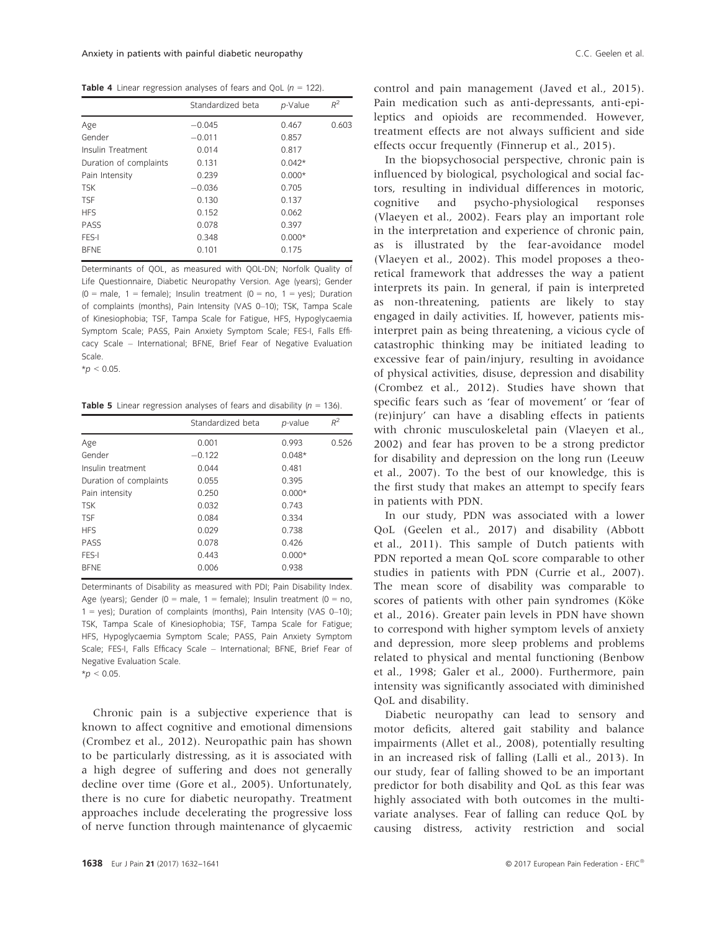**Table 4** Linear regression analyses of fears and QoL  $(n = 122)$ .

|                        | Standardized beta | $p$ -Value | $R^2$ |
|------------------------|-------------------|------------|-------|
| Age                    | $-0.045$          | 0.467      | 0.603 |
| Gender                 | $-0.011$          | 0.857      |       |
| Insulin Treatment      | 0.014             | 0.817      |       |
| Duration of complaints | 0.131             | $0.042*$   |       |
| Pain Intensity         | 0.239             | $0.000*$   |       |
| <b>TSK</b>             | $-0.036$          | 0.705      |       |
| <b>TSF</b>             | 0.130             | 0.137      |       |
| <b>HFS</b>             | 0.152             | 0.062      |       |
| PASS                   | 0.078             | 0.397      |       |
| FES-I                  | 0.348             | $0.000*$   |       |
| <b>BFNE</b>            | 0.101             | 0.175      |       |

Determinants of QOL, as measured with QOL-DN; Norfolk Quality of Life Questionnaire, Diabetic Neuropathy Version. Age (years); Gender  $(0 = male, 1 = female);$  Insulin treatment  $(0 = no, 1 = yes);$  Duration of complaints (months), Pain Intensity (VAS 0–10); TSK, Tampa Scale of Kinesiophobia; TSF, Tampa Scale for Fatigue, HFS, Hypoglycaemia Symptom Scale; PASS, Pain Anxiety Symptom Scale; FES-I, Falls Efficacy Scale – International; BFNE, Brief Fear of Negative Evaluation Scale.

 $*_{p}$  < 0.05.

**Table 5** Linear regression analyses of fears and disability ( $n = 136$ ).

|                        | Standardized beta | p-value  | $R^2$ |
|------------------------|-------------------|----------|-------|
| Age                    | 0.001             | 0.993    | 0.526 |
| Gender                 | $-0.122$          | $0.048*$ |       |
| Insulin treatment      | 0.044             | 0.481    |       |
| Duration of complaints | 0.055             | 0.395    |       |
| Pain intensity         | 0.250             | $0.000*$ |       |
| <b>TSK</b>             | 0.032             | 0.743    |       |
| <b>TSF</b>             | 0.084             | 0.334    |       |
| <b>HFS</b>             | 0.029             | 0.738    |       |
| PASS                   | 0.078             | 0.426    |       |
| FES-I                  | 0.443             | $0.000*$ |       |
| <b>BFNE</b>            | 0.006             | 0.938    |       |

Determinants of Disability as measured with PDI; Pain Disability Index. Age (years); Gender (0 = male, 1 = female); Insulin treatment (0 = no,  $1 = yes$ ); Duration of complaints (months), Pain Intensity (VAS 0-10); TSK, Tampa Scale of Kinesiophobia; TSF, Tampa Scale for Fatigue; HFS, Hypoglycaemia Symptom Scale; PASS, Pain Anxiety Symptom Scale; FES-I, Falls Efficacy Scale – International; BFNE, Brief Fear of Negative Evaluation Scale.

 $*_{p}$  < 0.05.

Chronic pain is a subjective experience that is known to affect cognitive and emotional dimensions (Crombez et al., 2012). Neuropathic pain has shown to be particularly distressing, as it is associated with a high degree of suffering and does not generally decline over time (Gore et al., 2005). Unfortunately, there is no cure for diabetic neuropathy. Treatment approaches include decelerating the progressive loss of nerve function through maintenance of glycaemic

control and pain management (Javed et al., 2015). Pain medication such as anti-depressants, anti-epileptics and opioids are recommended. However, treatment effects are not always sufficient and side effects occur frequently (Finnerup et al., 2015).

In the biopsychosocial perspective, chronic pain is influenced by biological, psychological and social factors, resulting in individual differences in motoric, cognitive and psycho-physiological responses (Vlaeyen et al., 2002). Fears play an important role in the interpretation and experience of chronic pain, as is illustrated by the fear-avoidance model (Vlaeyen et al., 2002). This model proposes a theoretical framework that addresses the way a patient interprets its pain. In general, if pain is interpreted as non-threatening, patients are likely to stay engaged in daily activities. If, however, patients misinterpret pain as being threatening, a vicious cycle of catastrophic thinking may be initiated leading to excessive fear of pain/injury, resulting in avoidance of physical activities, disuse, depression and disability (Crombez et al., 2012). Studies have shown that specific fears such as 'fear of movement' or 'fear of (re)injury' can have a disabling effects in patients with chronic musculoskeletal pain (Vlaeyen et al., 2002) and fear has proven to be a strong predictor for disability and depression on the long run (Leeuw et al., 2007). To the best of our knowledge, this is the first study that makes an attempt to specify fears in patients with PDN.

In our study, PDN was associated with a lower QoL (Geelen et al., 2017) and disability (Abbott et al., 2011). This sample of Dutch patients with PDN reported a mean QoL score comparable to other studies in patients with PDN (Currie et al., 2007). The mean score of disability was comparable to scores of patients with other pain syndromes (Köke et al., 2016). Greater pain levels in PDN have shown to correspond with higher symptom levels of anxiety and depression, more sleep problems and problems related to physical and mental functioning (Benbow et al., 1998; Galer et al., 2000). Furthermore, pain intensity was significantly associated with diminished QoL and disability.

Diabetic neuropathy can lead to sensory and motor deficits, altered gait stability and balance impairments (Allet et al., 2008), potentially resulting in an increased risk of falling (Lalli et al., 2013). In our study, fear of falling showed to be an important predictor for both disability and QoL as this fear was highly associated with both outcomes in the multivariate analyses. Fear of falling can reduce QoL by causing distress, activity restriction and social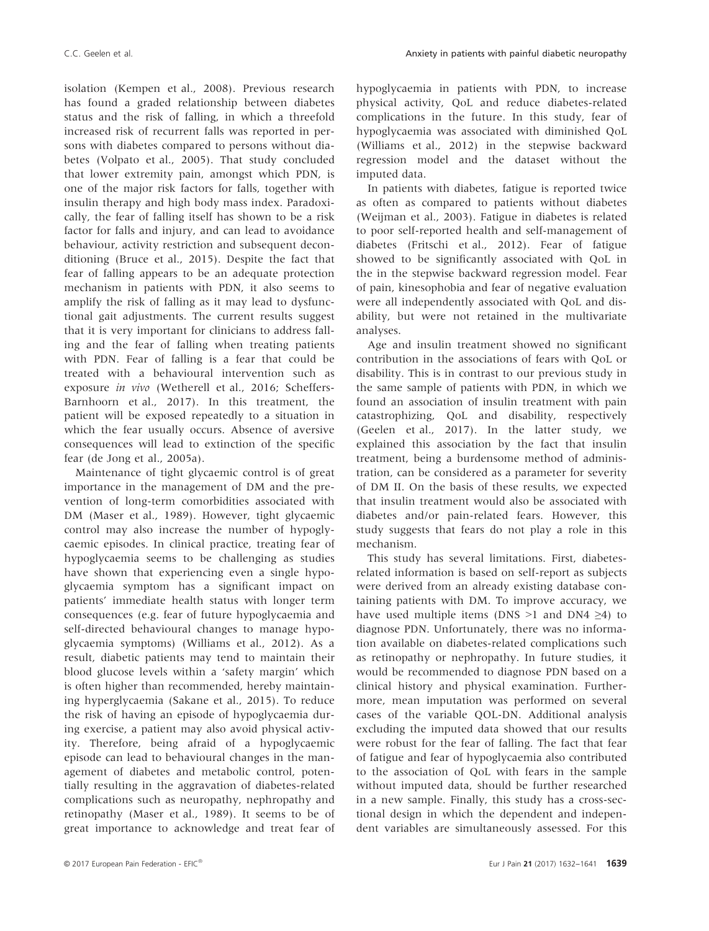isolation (Kempen et al., 2008). Previous research has found a graded relationship between diabetes status and the risk of falling, in which a threefold increased risk of recurrent falls was reported in persons with diabetes compared to persons without diabetes (Volpato et al., 2005). That study concluded that lower extremity pain, amongst which PDN, is one of the major risk factors for falls, together with insulin therapy and high body mass index. Paradoxically, the fear of falling itself has shown to be a risk factor for falls and injury, and can lead to avoidance behaviour, activity restriction and subsequent deconditioning (Bruce et al., 2015). Despite the fact that fear of falling appears to be an adequate protection mechanism in patients with PDN, it also seems to amplify the risk of falling as it may lead to dysfunctional gait adjustments. The current results suggest that it is very important for clinicians to address falling and the fear of falling when treating patients with PDN. Fear of falling is a fear that could be treated with a behavioural intervention such as exposure in vivo (Wetherell et al., 2016; Scheffers-Barnhoorn et al., 2017). In this treatment, the patient will be exposed repeatedly to a situation in which the fear usually occurs. Absence of aversive consequences will lead to extinction of the specific fear (de Jong et al., 2005a).

Maintenance of tight glycaemic control is of great importance in the management of DM and the prevention of long-term comorbidities associated with DM (Maser et al., 1989). However, tight glycaemic control may also increase the number of hypoglycaemic episodes. In clinical practice, treating fear of hypoglycaemia seems to be challenging as studies have shown that experiencing even a single hypoglycaemia symptom has a significant impact on patients' immediate health status with longer term consequences (e.g. fear of future hypoglycaemia and self-directed behavioural changes to manage hypoglycaemia symptoms) (Williams et al., 2012). As a result, diabetic patients may tend to maintain their blood glucose levels within a 'safety margin' which is often higher than recommended, hereby maintaining hyperglycaemia (Sakane et al., 2015). To reduce the risk of having an episode of hypoglycaemia during exercise, a patient may also avoid physical activity. Therefore, being afraid of a hypoglycaemic episode can lead to behavioural changes in the management of diabetes and metabolic control, potentially resulting in the aggravation of diabetes-related complications such as neuropathy, nephropathy and retinopathy (Maser et al., 1989). It seems to be of great importance to acknowledge and treat fear of hypoglycaemia in patients with PDN, to increase physical activity, QoL and reduce diabetes-related complications in the future. In this study, fear of hypoglycaemia was associated with diminished QoL (Williams et al., 2012) in the stepwise backward regression model and the dataset without the imputed data.

In patients with diabetes, fatigue is reported twice as often as compared to patients without diabetes (Weijman et al., 2003). Fatigue in diabetes is related to poor self-reported health and self-management of diabetes (Fritschi et al., 2012). Fear of fatigue showed to be significantly associated with QoL in the in the stepwise backward regression model. Fear of pain, kinesophobia and fear of negative evaluation were all independently associated with QoL and disability, but were not retained in the multivariate analyses.

Age and insulin treatment showed no significant contribution in the associations of fears with QoL or disability. This is in contrast to our previous study in the same sample of patients with PDN, in which we found an association of insulin treatment with pain catastrophizing, QoL and disability, respectively (Geelen et al., 2017). In the latter study, we explained this association by the fact that insulin treatment, being a burdensome method of administration, can be considered as a parameter for severity of DM II. On the basis of these results, we expected that insulin treatment would also be associated with diabetes and/or pain-related fears. However, this study suggests that fears do not play a role in this mechanism.

This study has several limitations. First, diabetesrelated information is based on self-report as subjects were derived from an already existing database containing patients with DM. To improve accuracy, we have used multiple items (DNS >1 and DN4  $\geq$ 4) to diagnose PDN. Unfortunately, there was no information available on diabetes-related complications such as retinopathy or nephropathy. In future studies, it would be recommended to diagnose PDN based on a clinical history and physical examination. Furthermore, mean imputation was performed on several cases of the variable QOL-DN. Additional analysis excluding the imputed data showed that our results were robust for the fear of falling. The fact that fear of fatigue and fear of hypoglycaemia also contributed to the association of QoL with fears in the sample without imputed data, should be further researched in a new sample. Finally, this study has a cross-sectional design in which the dependent and independent variables are simultaneously assessed. For this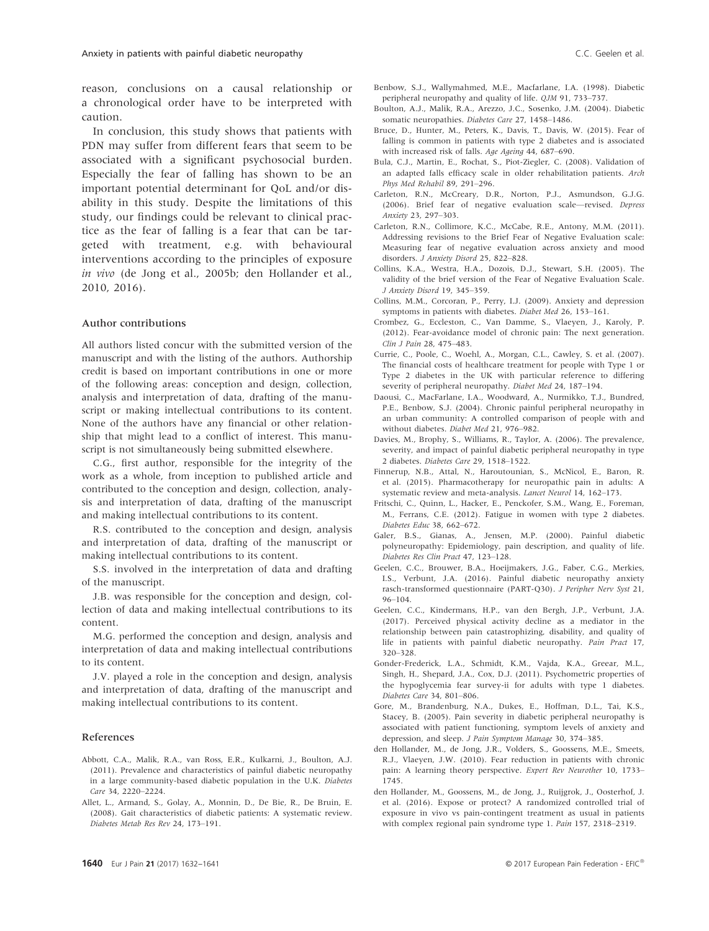reason, conclusions on a causal relationship or a chronological order have to be interpreted with caution.

In conclusion, this study shows that patients with PDN may suffer from different fears that seem to be associated with a significant psychosocial burden. Especially the fear of falling has shown to be an important potential determinant for QoL and/or disability in this study. Despite the limitations of this study, our findings could be relevant to clinical practice as the fear of falling is a fear that can be targeted with treatment, e.g. with behavioural interventions according to the principles of exposure in vivo (de Jong et al., 2005b; den Hollander et al., 2010, 2016).

#### Author contributions

All authors listed concur with the submitted version of the manuscript and with the listing of the authors. Authorship credit is based on important contributions in one or more of the following areas: conception and design, collection, analysis and interpretation of data, drafting of the manuscript or making intellectual contributions to its content. None of the authors have any financial or other relationship that might lead to a conflict of interest. This manuscript is not simultaneously being submitted elsewhere.

C.G., first author, responsible for the integrity of the work as a whole, from inception to published article and contributed to the conception and design, collection, analysis and interpretation of data, drafting of the manuscript and making intellectual contributions to its content.

R.S. contributed to the conception and design, analysis and interpretation of data, drafting of the manuscript or making intellectual contributions to its content.

S.S. involved in the interpretation of data and drafting of the manuscript.

J.B. was responsible for the conception and design, collection of data and making intellectual contributions to its content.

M.G. performed the conception and design, analysis and interpretation of data and making intellectual contributions to its content.

J.V. played a role in the conception and design, analysis and interpretation of data, drafting of the manuscript and making intellectual contributions to its content.

#### References

- Abbott, C.A., Malik, R.A., van Ross, E.R., Kulkarni, J., Boulton, A.J. (2011). Prevalence and characteristics of painful diabetic neuropathy in a large community-based diabetic population in the U.K. Diabetes Care 34, 2220–2224.
- Allet, L., Armand, S., Golay, A., Monnin, D., De Bie, R., De Bruin, E. (2008). Gait characteristics of diabetic patients: A systematic review. Diabetes Metab Res Rev 24, 173–191.
- Benbow, S.J., Wallymahmed, M.E., Macfarlane, I.A. (1998). Diabetic peripheral neuropathy and quality of life. QJM 91, 733–737.
- Boulton, A.J., Malik, R.A., Arezzo, J.C., Sosenko, J.M. (2004). Diabetic somatic neuropathies. Diabetes Care 27, 1458–1486.
- Bruce, D., Hunter, M., Peters, K., Davis, T., Davis, W. (2015). Fear of falling is common in patients with type 2 diabetes and is associated with increased risk of falls. Age Ageing 44, 687–690.
- Bula, C.J., Martin, E., Rochat, S., Piot-Ziegler, C. (2008). Validation of an adapted falls efficacy scale in older rehabilitation patients. Arch Phys Med Rehabil 89, 291–296.
- Carleton, R.N., McCreary, D.R., Norton, P.J., Asmundson, G.J.G. (2006). Brief fear of negative evaluation scale—revised. Depress Anxiety 23, 297–303.
- Carleton, R.N., Collimore, K.C., McCabe, R.E., Antony, M.M. (2011). Addressing revisions to the Brief Fear of Negative Evaluation scale: Measuring fear of negative evaluation across anxiety and mood disorders. J Anxiety Disord 25, 822–828.
- Collins, K.A., Westra, H.A., Dozois, D.J., Stewart, S.H. (2005). The validity of the brief version of the Fear of Negative Evaluation Scale. J Anxiety Disord 19, 345–359.
- Collins, M.M., Corcoran, P., Perry, I.J. (2009). Anxiety and depression symptoms in patients with diabetes. Diabet Med 26, 153–161.
- Crombez, G., Eccleston, C., Van Damme, S., Vlaeyen, J., Karoly, P. (2012). Fear-avoidance model of chronic pain: The next generation. Clin J Pain 28, 475–483.
- Currie, C., Poole, C., Woehl, A., Morgan, C.L., Cawley, S. et al. (2007). The financial costs of healthcare treatment for people with Type 1 or Type 2 diabetes in the UK with particular reference to differing severity of peripheral neuropathy. Diabet Med 24, 187–194.
- Daousi, C., MacFarlane, I.A., Woodward, A., Nurmikko, T.J., Bundred, P.E., Benbow, S.J. (2004). Chronic painful peripheral neuropathy in an urban community: A controlled comparison of people with and without diabetes. Diabet Med 21, 976–982.
- Davies, M., Brophy, S., Williams, R., Taylor, A. (2006). The prevalence, severity, and impact of painful diabetic peripheral neuropathy in type 2 diabetes. Diabetes Care 29, 1518–1522.
- Finnerup, N.B., Attal, N., Haroutounian, S., McNicol, E., Baron, R. et al. (2015). Pharmacotherapy for neuropathic pain in adults: A systematic review and meta-analysis. Lancet Neurol 14, 162–173.
- Fritschi, C., Quinn, L., Hacker, E., Penckofer, S.M., Wang, E., Foreman, M., Ferrans, C.E. (2012). Fatigue in women with type 2 diabetes. Diabetes Educ 38, 662–672.
- Galer, B.S., Gianas, A., Jensen, M.P. (2000). Painful diabetic polyneuropathy: Epidemiology, pain description, and quality of life. Diabetes Res Clin Pract 47, 123–128.
- Geelen, C.C., Brouwer, B.A., Hoeijmakers, J.G., Faber, C.G., Merkies, I.S., Verbunt, J.A. (2016). Painful diabetic neuropathy anxiety rasch-transformed questionnaire (PART-Q30). J Peripher Nerv Syst 21, 96–104.
- Geelen, C.C., Kindermans, H.P., van den Bergh, J.P., Verbunt, J.A. (2017). Perceived physical activity decline as a mediator in the relationship between pain catastrophizing, disability, and quality of life in patients with painful diabetic neuropathy. Pain Pract 17, 320–328.
- Gonder-Frederick, L.A., Schmidt, K.M., Vajda, K.A., Greear, M.L., Singh, H., Shepard, J.A., Cox, D.J. (2011). Psychometric properties of the hypoglycemia fear survey-ii for adults with type 1 diabetes. Diabetes Care 34, 801–806.
- Gore, M., Brandenburg, N.A., Dukes, E., Hoffman, D.L., Tai, K.S., Stacey, B. (2005). Pain severity in diabetic peripheral neuropathy is associated with patient functioning, symptom levels of anxiety and depression, and sleep. J Pain Symptom Manage 30, 374–385.
- den Hollander, M., de Jong, J.R., Volders, S., Goossens, M.E., Smeets, R.J., Vlaeyen, J.W. (2010). Fear reduction in patients with chronic pain: A learning theory perspective. Expert Rev Neurother 10, 1733– 1745.
- den Hollander, M., Goossens, M., de Jong, J., Ruijgrok, J., Oosterhof, J. et al. (2016). Expose or protect? A randomized controlled trial of exposure in vivo vs pain-contingent treatment as usual in patients with complex regional pain syndrome type 1. Pain 157, 2318–2319.